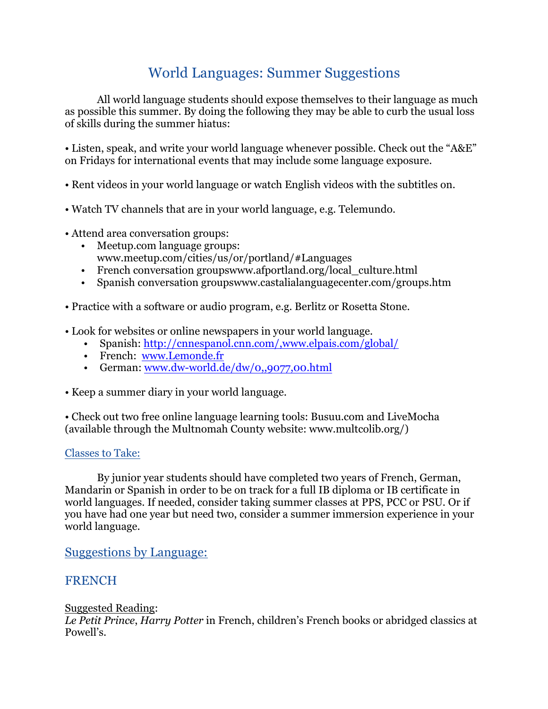# World Languages: Summer Suggestions

All world language students should expose themselves to their language as much as possible this summer. By doing the following they may be able to curb the usual loss of skills during the summer hiatus:

• Listen, speak, and write your world language whenever possible. Check out the "A&E" on Fridays for international events that may include some language exposure.

- Rent videos in your world language or watch English videos with the subtitles on.
- Watch TV channels that are in your world language, e.g. Telemundo.
- Attend area conversation groups:
	- Meetup.com language groups: www.meetup.com/cities/us/or/portland/#Languages
	- French conversation groupswww.afportland.org/local\_culture.html
	- Spanish conversation groupswww.castalialanguagecenter.com/groups.htm
- Practice with a software or audio program, e.g. Berlitz or Rosetta Stone.
- Look for websites or online newspapers in your world language.
	- Spanish: http://cnnespanol.cnn.com/,www.elpais.com/global/
	- French: www.Lemonde.fr
	- German: www.dw-world.de/dw/0,,9077,00.html
- Keep a summer diary in your world language.

• Check out two free online language learning tools: Busuu.com and LiveMocha (available through the Multnomah County website: www.multcolib.org/)

#### Classes to Take:

By junior year students should have completed two years of French, German, Mandarin or Spanish in order to be on track for a full IB diploma or IB certificate in world languages. If needed, consider taking summer classes at PPS, PCC or PSU. Or if you have had one year but need two, consider a summer immersion experience in your world language.

Suggestions by Language:

## FRENCH

#### Suggested Reading:

*Le Petit Prince*, *Harry Potter* in French, children's French books or abridged classics at Powell's.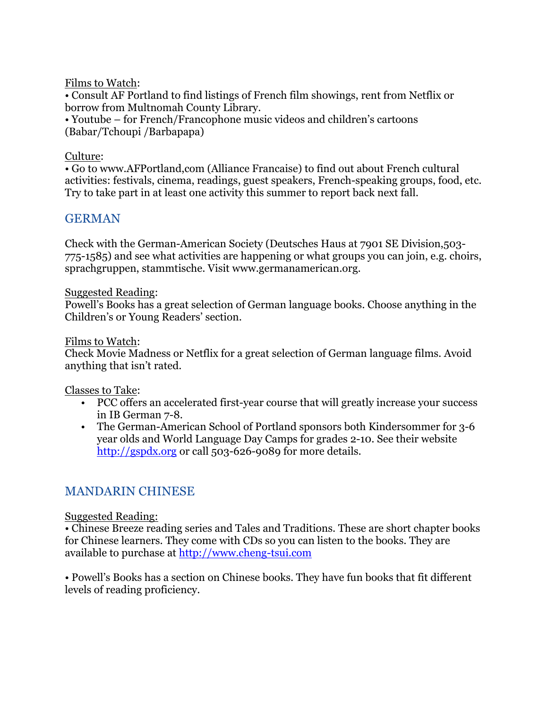Films to Watch:

• Consult AF Portland to find listings of French film showings, rent from Netflix or borrow from Multnomah County Library.

• Youtube – for French/Francophone music videos and children's cartoons (Babar/Tchoupi /Barbapapa)

#### Culture:

• Go to www.AFPortland,com (Alliance Francaise) to find out about French cultural activities: festivals, cinema, readings, guest speakers, French-speaking groups, food, etc. Try to take part in at least one activity this summer to report back next fall.

# GERMAN

Check with the German-American Society (Deutsches Haus at 7901 SE Division,503- 775-1585) and see what activities are happening or what groups you can join, e.g. choirs, sprachgruppen, stammtische. Visit www.germanamerican.org.

#### Suggested Reading:

Powell's Books has a great selection of German language books. Choose anything in the Children's or Young Readers' section.

#### Films to Watch:

Check Movie Madness or Netflix for a great selection of German language films. Avoid anything that isn't rated.

#### Classes to Take:

- PCC offers an accelerated first-year course that will greatly increase your success in IB German 7-8.
- The German-American School of Portland sponsors both Kindersommer for 3-6 year olds and World Language Day Camps for grades 2-10. See their website http://gspdx.org or call 503-626-9089 for more details.

# MANDARIN CHINESE

#### Suggested Reading:

• Chinese Breeze reading series and Tales and Traditions. These are short chapter books for Chinese learners. They come with CDs so you can listen to the books. They are available to purchase at http://www.cheng-tsui.com

• Powell's Books has a section on Chinese books. They have fun books that fit different levels of reading proficiency.